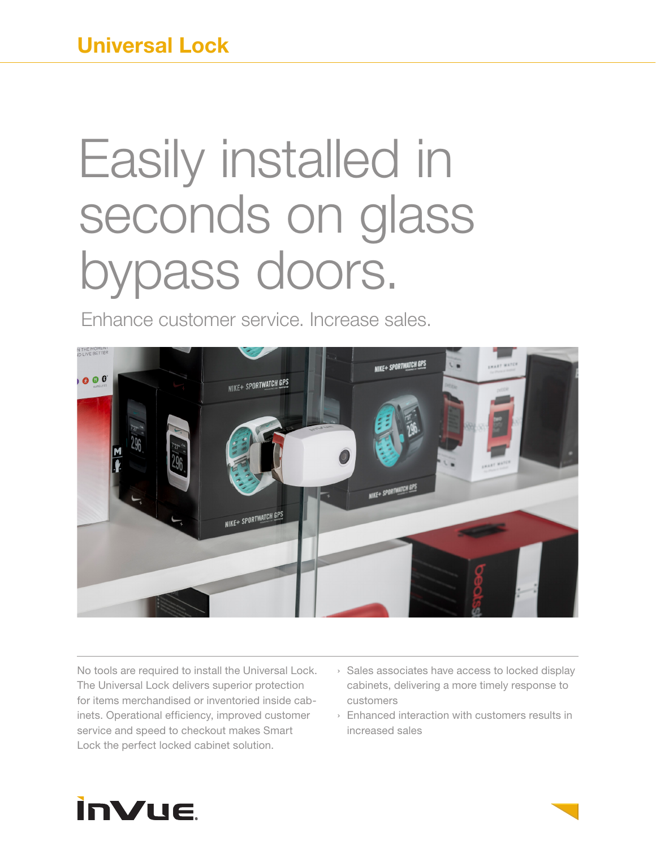# Easily installed in seconds on glass bypass doors.

Enhance customer service. Increase sales.



No tools are required to install the Universal Lock. The Universal Lock delivers superior protection for items merchandised or inventoried inside cabinets. Operational efficiency, improved customer service and speed to checkout makes Smart Lock the perfect locked cabinet solution.

- › Sales associates have access to locked display cabinets, delivering a more timely response to customers
- › Enhanced interaction with customers results in increased sales

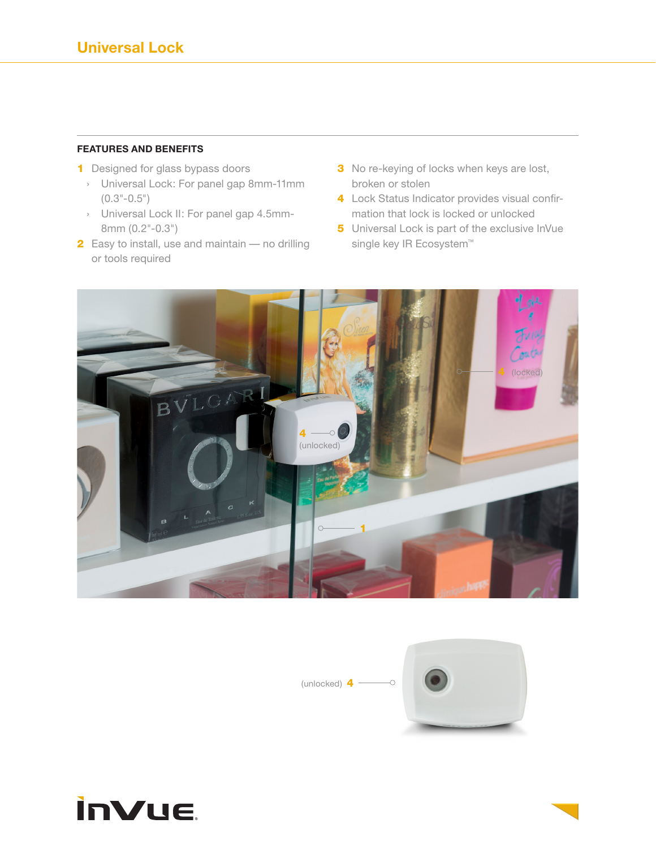#### **FEATURES AND BENEFITS**

- **1** Designed for glass bypass doors
	- › Universal Lock: For panel gap 8mm-11mm  $(0.3" - 0.5")$
	- › Universal Lock II: For panel gap 4.5mm-8mm (0.2"-0.3")
- 2 Easy to install, use and maintain no drilling or tools required
- **3** No re-keying of locks when keys are lost, broken or stolen
- 4 Lock Status Indicator provides visual confirmation that lock is locked or unlocked
- 5 Universal Lock is part of the exclusive InVue single key IR Ecosystem™





# **inVue**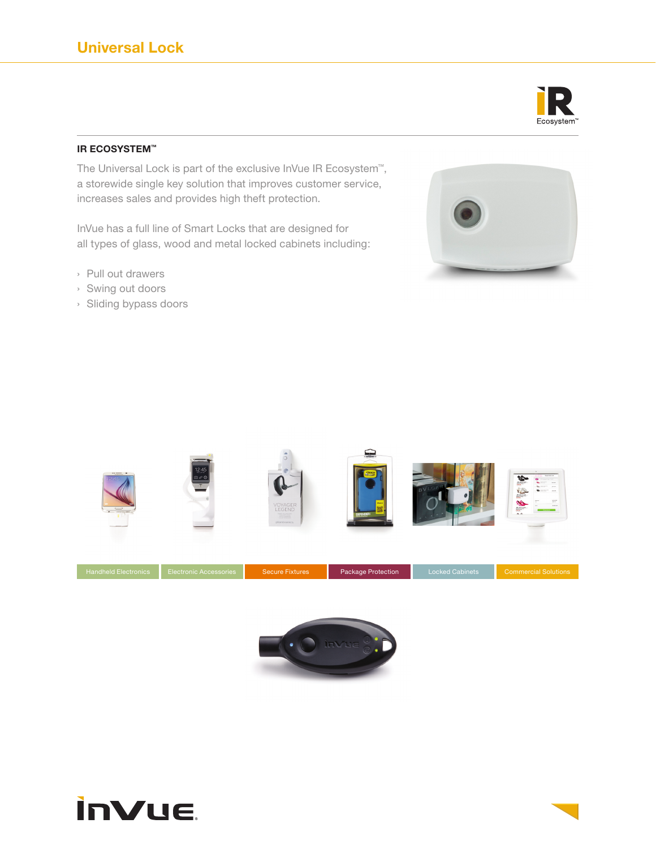

### **IR ECOSYSTEM™**

The Universal Lock is part of the exclusive InVue IR Ecosystem™, a storewide single key solution that improves customer service, increases sales and provides high theft protection.

InVue has a full line of Smart Locks that are designed for all types of glass, wood and metal locked cabinets including:

- › Pull out drawers
- › Swing out doors
- › Sliding bypass doors







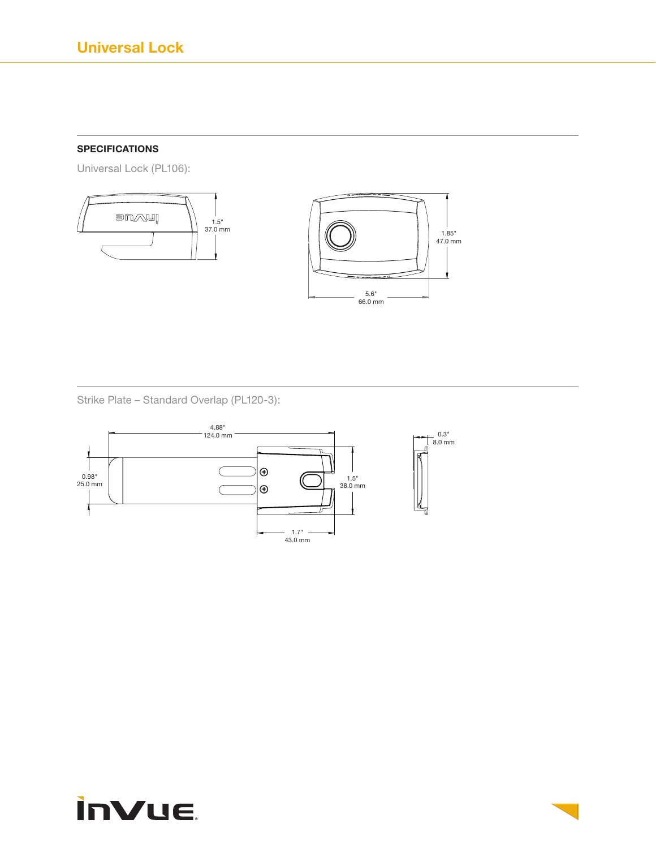# **SPECIFICATIONS**

Universal Lock (PL106):



 $1.85$ "<br>47.0 mm

Strike Plate – Standard Overlap (PL120-3):



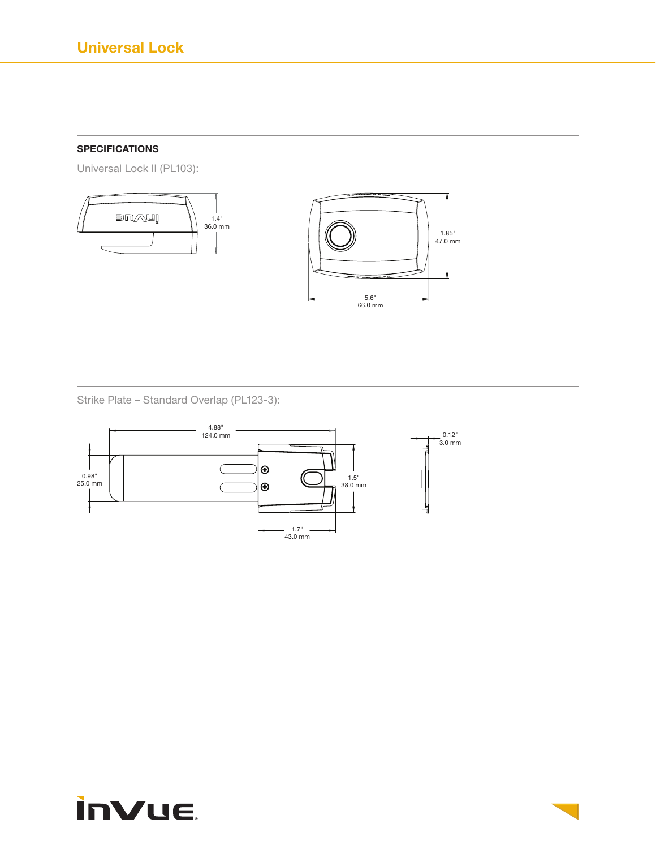# **SPECIFICATIONS**

Universal Lock II (PL103):





Strike Plate – Standard Overlap (PL123-3):